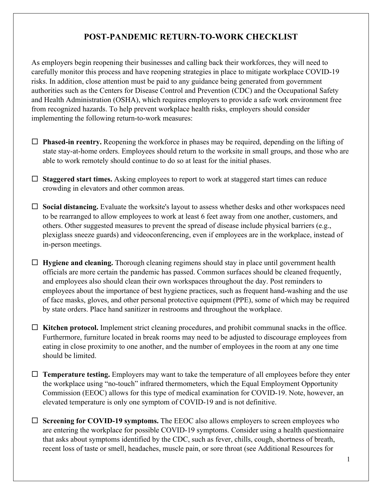## **POST-PANDEMIC RETURN-TO-WORK CHECKLIST**

As employers begin reopening their businesses and calling back their workforces, they will need to carefully monitor this process and have reopening strategies in place to mitigate workplace COVID-19 risks. In addition, close attention must be paid to any guidance being generated from government authorities such as the Centers for Disease Control and Prevention (CDC) and the Occupational Safety and Health Administration (OSHA), which requires employers to provide a safe work environment free from recognized hazards. To help prevent workplace health risks, employers should consider implementing the following return-to-work measures:

- $\Box$  **Phased-in reentry.** Reopening the workforce in phases may be required, depending on the lifting of state stay-at-home orders. Employees should return to the worksite in small groups, and those who are able to work remotely should continue to do so at least for the initial phases.
- $\Box$  **Staggered start times.** Asking employees to report to work at staggered start times can reduce crowding in elevators and other common areas.
- $\Box$  **Social distancing.** Evaluate the worksite's layout to assess whether desks and other workspaces need to be rearranged to allow employees to work at least 6 feet away from one another, customers, and others. Other suggested measures to prevent the spread of disease include physical barriers (e.g., plexiglass sneeze guards) and videoconferencing, even if employees are in the workplace, instead of in-person meetings.
- $\Box$  **Hygiene and cleaning.** Thorough cleaning regimens should stay in place until government health officials are more certain the pandemic has passed. Common surfaces should be cleaned frequently, and employees also should clean their own workspaces throughout the day. Post reminders to employees about the importance of best hygiene practices, such as frequent hand-washing and the use of face masks, gloves, and other personal protective equipment (PPE), some of which may be required by state orders. Place hand sanitizer in restrooms and throughout the workplace.
- $\Box$  Kitchen protocol. Implement strict cleaning procedures, and prohibit communal snacks in the office. Furthermore, furniture located in break rooms may need to be adjusted to discourage employees from eating in close proximity to one another, and the number of employees in the room at any one time should be limited.
- $\Box$  **Temperature testing.** Employers may want to take the temperature of all employees before they enter the workplace using "no-touch" infrared thermometers, which the Equal Employment Opportunity Commission (EEOC) allows for this type of medical examination for COVID-19. Note, however, an elevated temperature is only one symptom of COVID-19 and is not definitive.
- $\Box$  **Screening for COVID-19 symptoms.** The EEOC also allows employers to screen employees who are entering the workplace for possible COVID-19 symptoms. Consider using a health questionnaire that asks about symptoms identified by the CDC, such as fever, chills, cough, shortness of breath, recent loss of taste or smell, headaches, muscle pain, or sore throat (see Additional Resources for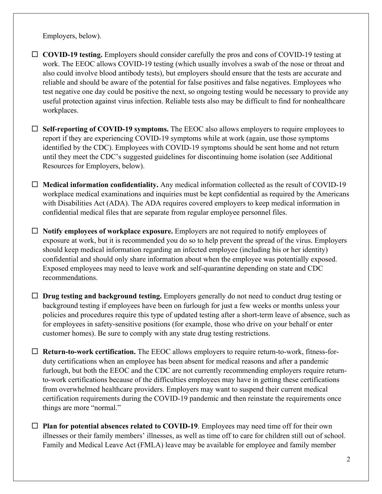Employers, below).

□ **COVID-19 testing.** Employers should consider carefully the pros and cons of COVID-19 testing at work. The EEOC allows COVID-19 testing (which usually involves a swab of the nose or throat and also could involve blood antibody tests), but employers should ensure that the tests are accurate and reliable and should be aware of the potential for false positives and false negatives. Employees who test negative one day could be positive the next, so ongoing testing would be necessary to provide any useful protection against virus infection. Reliable tests also may be difficult to find for nonhealthcare workplaces.

 $\Box$  **Self-reporting of COVID-19 symptoms.** The EEOC also allows employers to require employees to report if they are experiencing COVID-19 symptoms while at work (again, use those symptoms identified by the CDC). Employees with COVID-19 symptoms should be sent home and not return until they meet the CDC's suggested guidelines for discontinuing home isolation (see Additional Resources for Employers, below).

 $\Box$  **Medical information confidentiality.** Any medical information collected as the result of COVID-19 workplace medical examinations and inquiries must be kept confidential as required by the Americans with Disabilities Act (ADA). The ADA requires covered employers to keep medical information in confidential medical files that are separate from regular employee personnel files.

□ **Notify employees of workplace exposure.** Employers are not required to notify employees of exposure at work, but it is recommended you do so to help prevent the spread of the virus. Employers should keep medical information regarding an infected employee (including his or her identity) confidential and should only share information about when the employee was potentially exposed. Exposed employees may need to leave work and self-quarantine depending on state and CDC recommendations.

□ **Drug testing and background testing.** Employers generally do not need to conduct drug testing or background testing if employees have been on furlough for just a few weeks or months unless your policies and procedures require this type of updated testing after a short-term leave of absence, such as for employees in safety-sensitive positions (for example, those who drive on your behalf or enter customer homes). Be sure to comply with any state drug testing restrictions.

□ **Return-to-work certification.** The EEOC allows employers to require return-to-work, fitness-forduty certifications when an employee has been absent for medical reasons and after a pandemic furlough, but both the EEOC and the CDC are not currently recommending employers require returnto-work certifications because of the difficulties employees may have in getting these certifications from overwhelmed healthcare providers. Employers may want to suspend their current medical certification requirements during the COVID-19 pandemic and then reinstate the requirements once things are more "normal."

 $\Box$  **Plan for potential absences related to COVID-19**. Employees may need time off for their own illnesses or their family members' illnesses, as well as time off to care for children still out of school. Family and Medical Leave Act (FMLA) leave may be available for employee and family member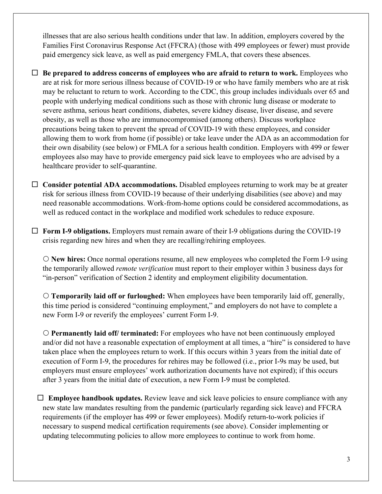illnesses that are also serious health conditions under that law. In addition, employers covered by the Families First Coronavirus Response Act (FFCRA) (those with 499 employees or fewer) must provide paid emergency sick leave, as well as paid emergency FMLA, that covers these absences.

 $\Box$  **Be prepared to address concerns of employees who are afraid to return to work.** Employees who are at risk for more serious illness because of COVID-19 or who have family members who are at risk may be reluctant to return to work. According to the CDC, this group includes individuals over 65 and people with underlying medical conditions such as those with chronic lung disease or moderate to severe asthma, serious heart conditions, diabetes, severe kidney disease, liver disease, and severe obesity, as well as those who are immunocompromised (among others). Discuss workplace precautions being taken to prevent the spread of COVID-19 with these employees, and consider allowing them to work from home (if possible) or take leave under the ADA as an accommodation for their own disability (see below) or FMLA for a serious health condition. Employers with 499 or fewer employees also may have to provide emergency paid sick leave to employees who are advised by a healthcare provider to self-quarantine.

 $\Box$  **Consider potential ADA accommodations.** Disabled employees returning to work may be at greater risk for serious illness from COVID-19 because of their underlying disabilities (see above) and may need reasonable accommodations. Work-from-home options could be considered accommodations, as well as reduced contact in the workplace and modified work schedules to reduce exposure.

 $\Box$  **Form I-9 obligations.** Employers must remain aware of their I-9 obligations during the COVID-19 crisis regarding new hires and when they are recalling/rehiring employees.

 **New hires:** Once normal operations resume, all new employees who completed the Form I-9 using the temporarily allowed *remote verification* must report to their employer within 3 business days for "in-person" verification of Section 2 identity and employment eligibility documentation.

 **Temporarily laid off or furloughed:** When employees have been temporarily laid off, generally, this time period is considered "continuing employment," and employers do not have to complete a new Form I-9 or reverify the employees' current Form I-9.

 **Permanently laid off/ terminated:** For employees who have not been continuously employed and/or did not have a reasonable expectation of employment at all times, a "hire" is considered to have taken place when the employees return to work. If this occurs within 3 years from the initial date of execution of Form I-9, the procedures for rehires may be followed (i.e., prior I-9s may be used, but employers must ensure employees' work authorization documents have not expired); if this occurs after 3 years from the initial date of execution, a new Form I-9 must be completed.

 $\Box$  **Employee handbook updates.** Review leave and sick leave policies to ensure compliance with any new state law mandates resulting from the pandemic (particularly regarding sick leave) and FFCRA requirements (if the employer has 499 or fewer employees). Modify return-to-work policies if necessary to suspend medical certification requirements (see above). Consider implementing or updating telecommuting policies to allow more employees to continue to work from home.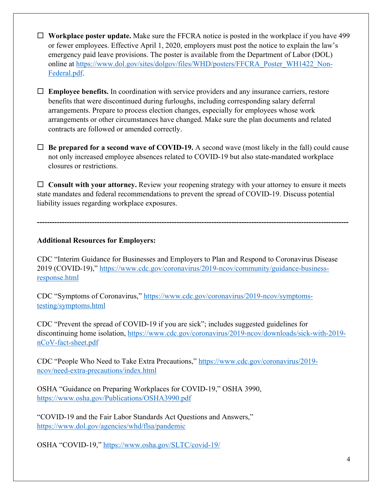- □ **Workplace poster update.** Make sure the FFCRA notice is posted in the workplace if you have 499 or fewer employees. Effective April 1, 2020, employers must post the notice to explain the law's emergency paid leave provisions. The poster is available from the Department of Labor (DOL) online at https://www.dol.gov/sites/dolgov/files/WHD/posters/FFCRA\_Poster\_WH1422\_Non-Federal.pdf.
- $\Box$  **Employee benefits.** In coordination with service providers and any insurance carriers, restore benefits that were discontinued during furloughs, including corresponding salary deferral arrangements. Prepare to process election changes, especially for employees whose work arrangements or other circumstances have changed. Make sure the plan documents and related contracts are followed or amended correctly.
- $\Box$  **Be prepared for a second wave of COVID-19.** A second wave (most likely in the fall) could cause not only increased employee absences related to COVID-19 but also state-mandated workplace closures or restrictions.

 $\Box$  Consult with your attorney. Review your reopening strategy with your attorney to ensure it meets state mandates and federal recommendations to prevent the spread of COVID-19. Discuss potential liability issues regarding workplace exposures.

**-----------------------------------------------------------------------------------------------------------------------------**

## **Additional Resources for Employers:**

CDC "Interim Guidance for Businesses and Employers to Plan and Respond to Coronavirus Disease 2019 (COVID-19)," https://www.cdc.gov/coronavirus/2019-ncov/community/guidance-businessresponse.html

CDC "Symptoms of Coronavirus," https://www.cdc.gov/coronavirus/2019-ncov/symptomstesting/symptoms.html

CDC "Prevent the spread of COVID-19 if you are sick"; includes suggested guidelines for discontinuing home isolation, https://www.cdc.gov/coronavirus/2019-ncov/downloads/sick-with-2019 nCoV-fact-sheet.pdf

CDC "People Who Need to Take Extra Precautions," https://www.cdc.gov/coronavirus/2019 ncov/need-extra-precautions/index.html

OSHA "Guidance on Preparing Workplaces for COVID-19," OSHA 3990, https://www.osha.gov/Publications/OSHA3990.pdf

"COVID-19 and the Fair Labor Standards Act Questions and Answers," https://www.dol.gov/agencies/whd/flsa/pandemic

OSHA "COVID-19," https://www.osha.gov/SLTC/covid-19/